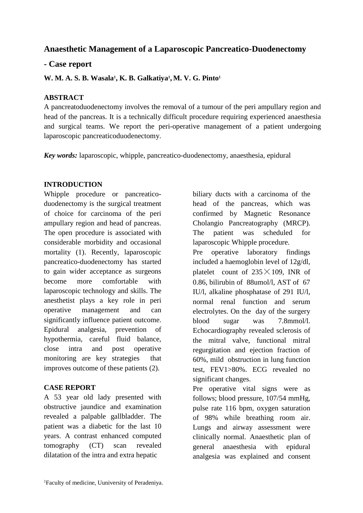# **Anaesthetic Management of a Laparoscopic Pancreatico-Duodenectomy**

## **- Case report**

**W. M. A. S. B. Wasala<sup>1</sup> , K. B. Galkatiya<sup>1</sup> , M. V. G. Pinto<sup>1</sup>**

#### **ABSTRACT**

A pancreatoduodenectomy involves the removal of a tumour of the peri ampullary region and head of the pancreas. It is a technically difficult procedure requiring experienced anaesthesia and surgical teams. We report the peri-operative management of a patient undergoing laparoscopic pancreaticoduodenectomy.

*Key words:* laparoscopic, whipple, pancreatico-duodenectomy, anaesthesia, epidural

#### **INTRODUCTION**

Whipple procedure or pancreaticoduodenectomy is the surgical treatment of choice for carcinoma of the peri ampullary region and head of pancreas. The open procedure is associated with considerable morbidity and occasional mortality (1). Recently, laparoscopic pancreatico-duodenectomy has started to gain wider acceptance as surgeons become more comfortable with laparoscopic technology and skills. The anesthetist plays a key role in peri operative management and can significantly influence patient outcome. Epidural analgesia, prevention of hypothermia, careful fluid balance, close intra and post operative monitoring are key strategies that improves outcome of these patients (2).

## **CASE REPORT**

A 53 year old lady presented with obstructive jaundice and examination revealed a palpable gallbladder. The patient was a diabetic for the last 10 years. A contrast enhanced computed tomography (CT) scan revealed dilatation of the intra and extra hepatic

biliary ducts with a carcinoma of the head of the pancreas, which was confirmed by Magnetic Resonance Cholangio Pancreatography (MRCP). The patient was scheduled for laparoscopic Whipple procedure.

Pre operative laboratory findings included a haemoglobin level of 12g/dl, platelet count of  $235 \times 109$ , INR of 0.86, bilirubin of 88umol/l, AST of 67 IU/l, alkaline phosphatase of 291 IU/l, normal renal function and serum electrolytes. On the day of the surgery blood sugar was 7.8mmol/l. Echocardiography revealed sclerosis of the mitral valve, functional mitral regurgitation and ejection fraction of 60%, mild obstruction in lung function test, FEV1>80%. ECG revealed no significant changes.

Pre operative vital signs were as follows; blood pressure, 107/54 mmHg, pulse rate 116 bpm, oxygen saturation of 98% while breathing room air. Lungs and airway assessment were clinically normal. Anaesthetic plan of general anaesthesia with epidural analgesia was explained and consent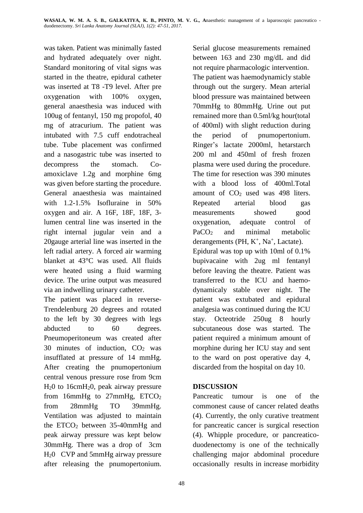was taken. Patient was minimally fasted and hydrated adequately over night. Standard monitoring of vital signs was started in the theatre, epidural catheter was inserted at T8 -T9 level. After pre oxygenation with 100% oxygen, general anaesthesia was induced with 100ug of fentanyl, 150 mg propofol, 40 mg of atracurium. The patient was intubated with 7.5 cuff endotracheal tube. Tube placement was confirmed and a nasogastric tube was inserted to decompress the stomach. Coamoxiclave 1.2g and morphine 6mg was given before starting the procedure. General anaesthesia was maintained with 1.2-1.5% Isofluraine in 50% oxygen and air. A 16F, 18F, 18F, 3 lumen central line was inserted in the right internal jugular vein and a 20gauge arterial line was inserted in the left radial artery. A forced air warming blanket at 43°C was used. All fluids were heated using a fluid warming device. The urine output was measured via an indwelling urinary catheter.

The patient was placed in reverse-Trendelenburg 20 degrees and rotated to the left by 30 degrees with legs abducted to 60 degrees. Pneumoperitoneum was created after 30 minutes of induction, CO<sup>2</sup> was insufflated at pressure of 14 mmHg. After creating the pnumopertonium central venous pressure rose from 9cm H20 to 16cmH20, peak airway pressure from 16mmHg to 27mmHg, ETCO<sup>2</sup> from 28mmHg TO 39mmHg. Ventilation was adjusted to maintain the  $ETCO<sub>2</sub>$  between 35-40mmHg and peak airway pressure was kept below 30mmHg. There was a drop of 3cm H20 CVP and 5mmHg airway pressure after releasing the pnumopertonium.

Serial glucose measurements remained between 163 and 230 mg/dL and did not require pharmacologic intervention. The patient was haemodynamicly stable through out the surgery. Mean arterial blood pressure was maintained between 70mmHg to 80mmHg. Urine out put remained more than 0.5ml/kg hour(total of 400ml) with slight reduction during the period of pnumopertonium. Ringer's lactate 2000ml, hetarstarch 200 ml and 450ml of fresh frozen plasma were used during the procedure. The time for resection was 390 minutes with a blood loss of 400ml.Total amount of  $CO<sub>2</sub>$  used was 498 liters. Repeated arterial blood gas measurements showed good oxygenation, adequate control of PaCO<sup>2</sup> and minimal metabolic derangements (PH, K<sup>+</sup>, Na<sup>+</sup>, Lactate). Epidural was top up with 10ml of 0.1% bupivacaine with 2ug ml fentanyl before leaving the theatre. Patient was transferred to the ICU and haemodynamicaly stable over night. The patient was extubated and epidural analgesia was continued during the ICU stay. Octeotride 250ug 8 hourly subcutaneous dose was started. The patient required a minimum amount of morphine during her ICU stay and sent to the ward on post operative day 4, discarded from the hospital on day 10.

## **DISCUSSION**

Pancreatic tumour is one of the commonest cause of cancer related deaths (4). Currently, the only curative treatment for pancreatic cancer is surgical resection (4). Whipple procedure, or pancreaticoduodenectomy is one of the technically challenging major abdominal procedure occasionally results in increase morbidity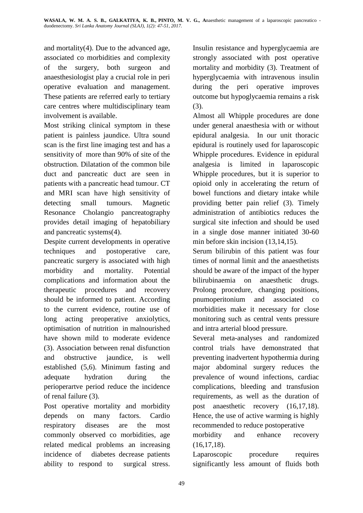and mortality(4). Due to the advanced age, associated co morbidities and complexity of the surgery, both surgeon and anaesthesiologist play a crucial role in peri operative evaluation and management. These patients are referred early to tertiary care centres where multidisciplinary team involvement is available.

Most striking clinical symptom in these patient is painless jaundice. Ultra sound scan is the first line imaging test and has a sensitivity of more than 90% of site of the obstruction. Dilatation of the common bile duct and pancreatic duct are seen in patients with a pancreatic head tumour. CT and MRI scan have high sensitivity of detecting small tumours. Magnetic Resonance Cholangio pancreatography provides detail imaging of hepatobiliary and pancreatic systems(4).

Despite current developments in operative techniques and postoperative care, pancreatic surgery is associated with high morbidity and mortality. Potential complications and information about the therapeutic procedures and recovery should be informed to patient. According to the current evidence, routine use of long acting preoperative anxiolytics, optimisation of nutrition in malnourished have shown mild to moderate evidence (3). Association between renal disfunction and obstructive jaundice, is well established (5,6). Minimum fasting and adequate hydration during the perioperartve period reduce the incidence of renal failure (3).

Post operative mortality and morbidity depends on many factors. Cardio respiratory diseases are the most commonly observed co morbidities, age related medical problems an increasing incidence of diabetes decrease patients ability to respond to surgical stress.

Insulin resistance and hyperglycaemia are strongly associated with post operative mortality and morbidity (3). Treatment of hyperglycaemia with intravenous insulin during the peri operative improves outcome but hypoglycaemia remains a risk (3).

Almost all Whipple procedures are done under general anaesthesia with or without epidural analgesia. In our unit thoracic epidural is routinely used for laparoscopic Whipple procedures. Evidence in epidural analgesia is limited in laparoscopic Whipple procedures, but it is superior to opioid only in accelerating the return of bowel functions and dietary intake while providing better pain relief (3). Timely administration of antibiotics reduces the surgical site infection and should be used in a single dose manner initiated 30-60 min before skin incision (13,14,15).

Serum bilirubin of this patient was four times of normal limit and the anaesthetists should be aware of the impact of the hyper bilirubinaemia on anaesthetic drugs. Prolong procedure, changing positions, pnumoperitonium and associated co morbidities make it necessary for close monitoring such as central vents pressure and intra arterial blood pressure.

Several meta-analyses and randomized control trials have demonstrated that preventing inadvertent hypothermia during major abdominal surgery reduces the prevalence of wound infections, cardiac complications, bleeding and transfusion requirements, as well as the duration of post anaesthetic recovery (16,17,18). Hence, the use of active warming is highly recommended to reduce postoperative

morbidity and enhance recovery (16,17,18).

Laparoscopic procedure requires significantly less amount of fluids both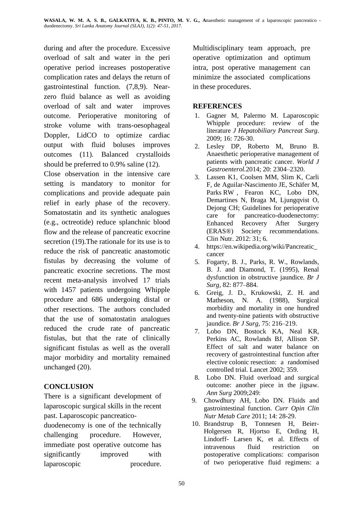during and after the procedure. Excessive overload of salt and water in the peri operative period increases postoperative complication rates and delays the return of gastrointestinal function. (7,8,9). Nearzero fluid balance as well as avoiding overload of salt and water improves outcome. Perioperative monitoring of stroke volume with trans-oesophageal Doppler, LidCO to optimize cardiac output with fluid boluses improves outcomes (11). Balanced crystalloids should be preferred to 0.9% saline (12).

Close observation in the intensive care setting is mandatory to monitor for complications and provide adequate pain relief in early phase of the recovery. Somatostatin and its synthetic analogues (e.g., octreotide) reduce splanchnic blood flow and the release of pancreatic exocrine secretion (19).The rationale for its use is to reduce the risk of pancreatic anastomotic fistulas by decreasing the volume of pancreatic exocrine secretions. The most recent meta-analysis involved 17 trials with 1457 patients undergoing Whipple procedure and 686 undergoing distal or other resections. The authors concluded that the use of somatostatin analogues reduced the crude rate of pancreatic fistulas, but that the rate of clinically significant fistulas as well as the overall major morbidity and mortality remained unchanged (20).

# **CONCLUSION**

There is a significant development of laparoscopic surgical skills in the recent past. Laparoscopic pancreatico-

duodenecomy is one of the technically challenging procedure. However, immediate post operative outcome has significantly improved with laparoscopic procedure.

Multidisciplinary team approach, pre operative optimization and optimum intra, post operative management can minimize the associated complications in these procedures.

## **REFERENCES**

- 1. Gagner M, Palermo M. Laparoscopic Whipple procedure: review of the literature *J Hepatobiliary Pancreat Surg*. 2009; 16: 726-30.
- 2. Lesley DP, Roberto M, Bruno B. Anaesthetic perioperative management of patients with pancreatic cancer. *World J Gastroenterol.*2014; 20: 2304–2320.
- 3. [Lassen](https://www.ncbi.nlm.nih.gov/pubmed/?term=Lassen%20K%5BAuthor%5D&cauthor=true&cauthor_uid=23079762) K1, [Coolsen](https://www.ncbi.nlm.nih.gov/pubmed/?term=Coolsen%20MM%5BAuthor%5D&cauthor=true&cauthor_uid=23079762) MM, [Slim](https://www.ncbi.nlm.nih.gov/pubmed/?term=Slim%20K%5BAuthor%5D&cauthor=true&cauthor_uid=23079762) K, [Carli](https://www.ncbi.nlm.nih.gov/pubmed/?term=Carli%20F%5BAuthor%5D&cauthor=true&cauthor_uid=23079762) [F,](https://www.ncbi.nlm.nih.gov/pubmed/?term=Carli%20F%5BAuthor%5D&cauthor=true&cauthor_uid=23079762) de [Aguilar-Nascimento](https://www.ncbi.nlm.nih.gov/pubmed/?term=de%20Aguilar-Nascimento%20JE%5BAuthor%5D&cauthor=true&cauthor_uid=23079762) JE, [Schäfer](https://www.ncbi.nlm.nih.gov/pubmed/?term=Sch%C3%A4fer%20M%5BAuthor%5D&cauthor=true&cauthor_uid=23079762) M, [Parks](https://www.ncbi.nlm.nih.gov/pubmed/?term=Parks%20RW%5BAuthor%5D&cauthor=true&cauthor_uid=23079762) RW , [Fearon](https://www.ncbi.nlm.nih.gov/pubmed/?term=Fearon%20KC%5BAuthor%5D&cauthor=true&cauthor_uid=23079762) KC, [Lobo](https://www.ncbi.nlm.nih.gov/pubmed/?term=Lobo%20DN%5BAuthor%5D&cauthor=true&cauthor_uid=23079762) DN, [Demartines](https://www.ncbi.nlm.nih.gov/pubmed/?term=Demartines%20N%5BAuthor%5D&cauthor=true&cauthor_uid=23079762) N, [Braga](https://www.ncbi.nlm.nih.gov/pubmed/?term=Braga%20M%5BAuthor%5D&cauthor=true&cauthor_uid=23079762) M, [Ljungqvist](https://www.ncbi.nlm.nih.gov/pubmed/?term=Ljungqvist%20O%5BAuthor%5D&cauthor=true&cauthor_uid=23079762) O, [Dejong](https://www.ncbi.nlm.nih.gov/pubmed/?term=Dejong%20CH%5BAuthor%5D&cauthor=true&cauthor_uid=23079762) CH; Guidelines for perioperative care for pancreatico-duodenectomy: Enhanced Recovery After Surgery (ERAS®) Society recommendations. Clin Nutr. 2012: 31; 6.
- 4. [https://en.wikipedia.org/wiki/Pancreatic\\_](https://en.wikipedia.org/wiki/Pancreatic_cancer) [cancer](https://en.wikipedia.org/wiki/Pancreatic_cancer)
- 5. Fogarty, B. J., Parks, R. W., Rowlands, B. J. and Diamond, T. (1995), Renal dysfunction in obstructive jaundice. *Br J Surg,* 82: 877–884.
- 6. Greig, J. D., Krukowski, Z. H. and Matheson, N. A. (1988), Surgical morbidity and mortality in one hundred and twenty-nine patients with obstructive jaundice. *Br J Surg,* 75: 216–219.
- 7. Lobo DN, Bostock KA, Neal KR, Perkins AC, Rowlands BJ, Allison SP. Effect of salt and water balance on recovery of gastrointestinal function after elective colonic resection: a randomised controlled trial. Lancet 2002; 359.
- 8. Lobo DN. Fluid overload and surgical outcome: another piece in the jigsaw. *Ann Surg* 2009;249:
- 9. Chowdhury AH, Lobo DN. Fluids and gastrointestinal function. *Curr Opin Clin Nutr Metab Care* 2011; 14: 28-29.
- 10. Brandstrup B, Tonnesen H, Beier-Holgersen R, Hjortso E, Ording H, Lindorff- Larsen K, et al. Effects of intravenous fluid restriction on postoperative complications: comparison of two perioperative fluid regimens: a